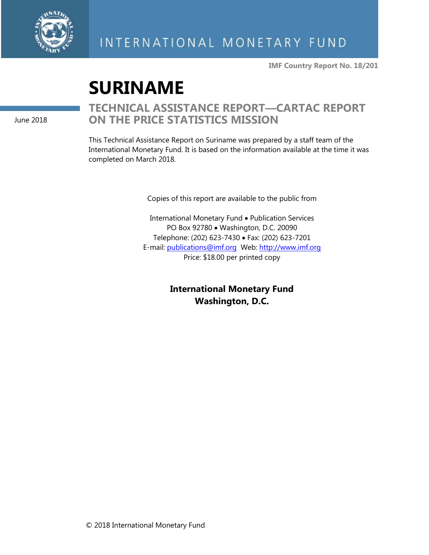

**IMF Country Report No. 18/201**

# **SURINAME**

June 2018

# **TECHNICAL ASSISTANCE REPORT—CARTAC REPORT ON THE PRICE STATISTICS MISSION**

This Technical Assistance Report on Suriname was prepared by a staff team of the International Monetary Fund. It is based on the information available at the time it was completed on March 2018.

Copies of this report are available to the public from

International Monetary Fund • Publication Services PO Box 92780 • Washington, D.C. 20090 Telephone: (202) 623-7430 • Fax: (202) 623-7201 E-mail: [publications@imf.org](mailto:publications@imf.org) Web: [http://www.imf.org](http://www.imf.org/) Price: \$18.00 per printed copy

> **International Monetary Fund Washington, D.C.**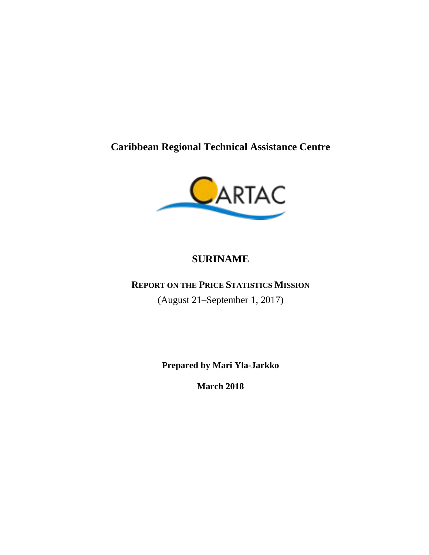**Caribbean Regional Technical Assistance Centre**



# **SURINAME**

# **REPORT ON THE PRICE STATISTICS MISSION**

(August 21–September 1, 2017)

**Prepared by Mari Yla-Jarkko**

**March 2018**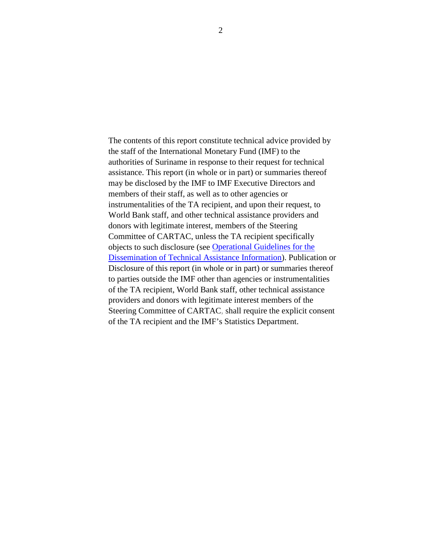The contents of this report constitute technical advice provided by the staff of the International Monetary Fund (IMF) to the authorities of Suriname in response to their request for technical assistance. This report (in whole or in part) or summaries thereof may be disclosed by the IMF to IMF Executive Directors and members of their staff, as well as to other agencies or instrumentalities of the TA recipient, and upon their request, to World Bank staff, and other technical assistance providers and donors with legitimate interest, members of the Steering Committee of CARTAC, unless the TA recipient specifically objects to such disclosure (see [Operational Guidelines for the](http://www.imf.org/external/np/pp/eng/2013/061013.pdf)  [Dissemination of Technical Assistance Information\)](http://www.imf.org/external/np/pp/eng/2013/061013.pdf). Publication or Disclosure of this report (in whole or in part) or summaries thereof to parties outside the IMF other than agencies or instrumentalities of the TA recipient, World Bank staff, other technical assistance providers and donors with legitimate interest members of the Steering Committee of CARTAC, shall require the explicit consent of the TA recipient and the IMF's Statistics Department.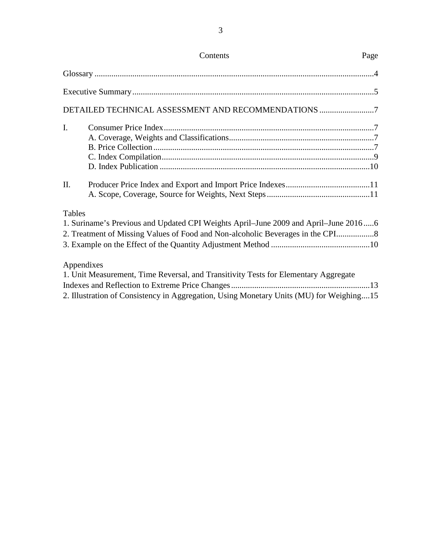|               | DETAILED TECHNICAL ASSESSMENT AND RECOMMENDATIONS 7                                     |  |
|---------------|-----------------------------------------------------------------------------------------|--|
| I.            |                                                                                         |  |
|               |                                                                                         |  |
|               |                                                                                         |  |
|               |                                                                                         |  |
|               |                                                                                         |  |
| II.           |                                                                                         |  |
| <b>Tables</b> | 1. Suriname's Previous and Updated CPI Weights April–June 2009 and April–June 20166     |  |
|               |                                                                                         |  |
|               | 2. Treatment of Missing Values of Food and Non-alcoholic Beverages in the CPI           |  |
| Appendixes    |                                                                                         |  |
|               | 1. Unit Measurement, Time Reversal, and Transitivity Tests for Elementary Aggregate     |  |
|               |                                                                                         |  |
|               | 2. Illustration of Consistency in Aggregation, Using Monetary Units (MU) for Weighing15 |  |

# Contents Page

3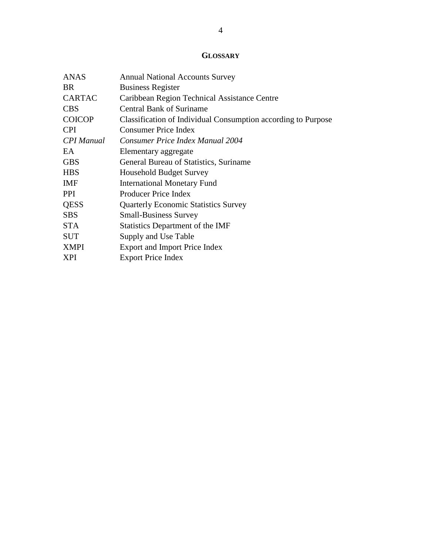# **GLOSSARY**

| <b>ANAS</b>       | <b>Annual National Accounts Survey</b>                        |
|-------------------|---------------------------------------------------------------|
| <b>BR</b>         | <b>Business Register</b>                                      |
| <b>CARTAC</b>     | Caribbean Region Technical Assistance Centre                  |
| <b>CBS</b>        | <b>Central Bank of Suriname</b>                               |
| <b>COICOP</b>     | Classification of Individual Consumption according to Purpose |
| <b>CPI</b>        | Consumer Price Index                                          |
| <b>CPI</b> Manual | Consumer Price Index Manual 2004                              |
| EA.               | Elementary aggregate                                          |
| <b>GBS</b>        | General Bureau of Statistics, Suriname                        |
| <b>HBS</b>        | <b>Household Budget Survey</b>                                |
| <b>IMF</b>        | <b>International Monetary Fund</b>                            |
| <b>PPI</b>        | <b>Producer Price Index</b>                                   |
| <b>QESS</b>       | <b>Quarterly Economic Statistics Survey</b>                   |
| <b>SBS</b>        | <b>Small-Business Survey</b>                                  |
| <b>STA</b>        | Statistics Department of the IMF                              |
| <b>SUT</b>        | Supply and Use Table                                          |
| <b>XMPI</b>       | <b>Export and Import Price Index</b>                          |
| <b>XPI</b>        | <b>Export Price Index</b>                                     |
|                   |                                                               |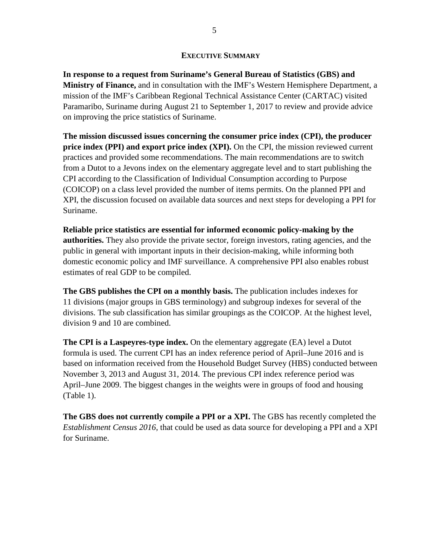#### **EXECUTIVE SUMMARY**

**In response to a request from Suriname's General Bureau of Statistics (GBS) and Ministry of Finance,** and in consultation with the IMF's Western Hemisphere Department, a mission of the IMF's Caribbean Regional Technical Assistance Center (CARTAC) visited Paramaribo, Suriname during August 21 to September 1, 2017 to review and provide advice on improving the price statistics of Suriname.

**The mission discussed issues concerning the consumer price index (CPI), the producer price index (PPI) and export price index (XPI).** On the CPI, the mission reviewed current practices and provided some recommendations. The main recommendations are to switch from a Dutot to a Jevons index on the elementary aggregate level and to start publishing the CPI according to the Classification of Individual Consumption according to Purpose (COICOP) on a class level provided the number of items permits. On the planned PPI and XPI, the discussion focused on available data sources and next steps for developing a PPI for Suriname.

**Reliable price statistics are essential for informed economic policy-making by the authorities.** They also provide the private sector, foreign investors, rating agencies, and the public in general with important inputs in their decision-making, while informing both domestic economic policy and IMF surveillance. A comprehensive PPI also enables robust estimates of real GDP to be compiled.

**The GBS publishes the CPI on a monthly basis.** The publication includes indexes for 11 divisions (major groups in GBS terminology) and subgroup indexes for several of the divisions. The sub classification has similar groupings as the COICOP. At the highest level, division 9 and 10 are combined.

**The CPI is a Laspeyres-type index.** On the elementary aggregate (EA) level a Dutot formula is used. The current CPI has an index reference period of April–June 2016 and is based on information received from the Household Budget Survey (HBS) conducted between November 3, 2013 and August 31, 2014. The previous CPI index reference period was April–June 2009. The biggest changes in the weights were in groups of food and housing (Table 1).

**The GBS does not currently compile a PPI or a XPI.** The GBS has recently completed the *Establishment Census 2016,* that could be used as data source for developing a PPI and a XPI for Suriname.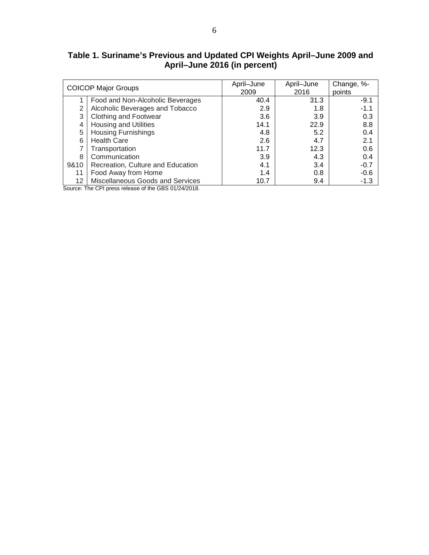**Table 1. Suriname's Previous and Updated CPI Weights April–June 2009 and April–June 2016 (in percent)**

|      | <b>COICOP Major Groups</b>        | April-June<br>2009 | April-June<br>2016 | Change, %-<br>points |
|------|-----------------------------------|--------------------|--------------------|----------------------|
|      | Food and Non-Alcoholic Beverages  | 40.4               | 31.3               | $-9.1$               |
| 2    | Alcoholic Beverages and Tobacco   | 2.9                | 1.8                | $-1.1$               |
| 3    | Clothing and Footwear             | 3.6                | 3.9                | 0.3                  |
| 4    | Housing and Utilities             | 14.1               | 22.9               | 8.8                  |
| 5    | <b>Housing Furnishings</b>        | 4.8                | 5.2                | 0.4                  |
| 6    | <b>Health Care</b>                | 2.6                | 4.7                | 2.1                  |
|      | Transportation                    | 11.7               | 12.3               | 0.6                  |
| 8    | Communication                     | 3.9                | 4.3                | 0.4                  |
| 9&10 | Recreation, Culture and Education | 4.1                | 3.4                | $-0.7$               |
| 11   | Food Away from Home               | 1.4                | 0.8                | $-0.6$               |
| 12   | Miscellaneous Goods and Services  | 10.7               | 9.4                | $-1.3$               |

Source: The CPI press release of the GBS 01/24/2018.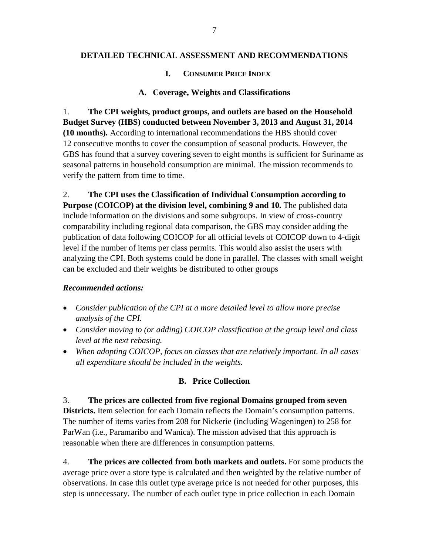#### **DETAILED TECHNICAL ASSESSMENT AND RECOMMENDATIONS**

#### **I. CONSUMER PRICE INDEX**

#### **A. Coverage, Weights and Classifications**

1. **The CPI weights, product groups, and outlets are based on the Household Budget Survey (HBS) conducted between November 3, 2013 and August 31, 2014 (10 months).** According to international recommendations the HBS should cover 12 consecutive months to cover the consumption of seasonal products. However, the GBS has found that a survey covering seven to eight months is sufficient for Suriname as seasonal patterns in household consumption are minimal. The mission recommends to verify the pattern from time to time.

2. **The CPI uses the Classification of Individual Consumption according to Purpose (COICOP) at the division level, combining 9 and 10.** The published data include information on the divisions and some subgroups. In view of cross-country comparability including regional data comparison, the GBS may consider adding the publication of data following COICOP for all official levels of COICOP down to 4-digit level if the number of items per class permits. This would also assist the users with analyzing the CPI. Both systems could be done in parallel. The classes with small weight can be excluded and their weights be distributed to other groups

#### *Recommended actions:*

- *Consider publication of the CPI at a more detailed level to allow more precise analysis of the CPI.*
- *Consider moving to (or adding) COICOP classification at the group level and class level at the next rebasing.*
- *When adopting COICOP, focus on classes that are relatively important. In all cases all expenditure should be included in the weights.*

#### **B. Price Collection**

#### 3. **The prices are collected from five regional Domains grouped from seven**

**Districts.** Item selection for each Domain reflects the Domain's consumption patterns. The number of items varies from 208 for Nickerie (including Wageningen) to 258 for ParWan (i.e., Paramaribo and Wanica). The mission advised that this approach is reasonable when there are differences in consumption patterns.

4. **The prices are collected from both markets and outlets.** For some products the average price over a store type is calculated and then weighted by the relative number of observations. In case this outlet type average price is not needed for other purposes, this step is unnecessary. The number of each outlet type in price collection in each Domain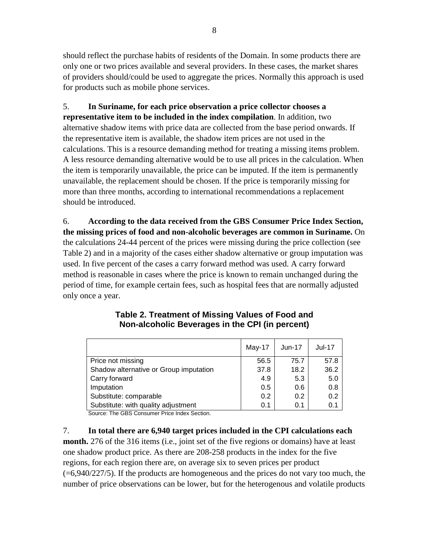should reflect the purchase habits of residents of the Domain. In some products there are only one or two prices available and several providers. In these cases, the market shares of providers should/could be used to aggregate the prices. Normally this approach is used for products such as mobile phone services.

5. **In Suriname, for each price observation a price collector chooses a representative item to be included in the index compilation**. In addition, two alternative shadow items with price data are collected from the base period onwards. If the representative item is available, the shadow item prices are not used in the calculations. This is a resource demanding method for treating a missing items problem. A less resource demanding alternative would be to use all prices in the calculation. When the item is temporarily unavailable, the price can be imputed. If the item is permanently unavailable, the replacement should be chosen. If the price is temporarily missing for more than three months, according to international recommendations a replacement should be introduced.

6. **According to the data received from the GBS Consumer Price Index Section, the missing prices of food and non-alcoholic beverages are common in Suriname.** On the calculations 24-44 percent of the prices were missing during the price collection (see Table 2) and in a majority of the cases either shadow alternative or group imputation was used. In five percent of the cases a carry forward method was used. A carry forward method is reasonable in cases where the price is known to remain unchanged during the period of time, for example certain fees, such as hospital fees that are normally adjusted only once a year.

|                                        | May-17 | $Jun-17$ | <b>Jul-17</b> |
|----------------------------------------|--------|----------|---------------|
| Price not missing                      | 56.5   | 75.7     | 57.8          |
| Shadow alternative or Group imputation | 37.8   | 18.2     | 36.2          |
| Carry forward                          | 4.9    | 5.3      | 5.0           |
| Imputation                             | 0.5    | 0.6      | 0.8           |
| Substitute: comparable                 | 0.2    | 0.2      | 0.2           |
| Substitute: with quality adjustment    | 0.1    | 0.1      | 0.1           |

#### **Table 2. Treatment of Missing Values of Food and Non-alcoholic Beverages in the CPI (in percent)**

Source: The GBS Consumer Price Index Section.

7. **In total there are 6,940 target prices included in the CPI calculations each month.** 276 of the 316 items (i.e., joint set of the five regions or domains) have at least one shadow product price. As there are 208-258 products in the index for the five regions, for each region there are, on average six to seven prices per product  $(=6,940/227/5)$ . If the products are homogeneous and the prices do not vary too much, the number of price observations can be lower, but for the heterogenous and volatile products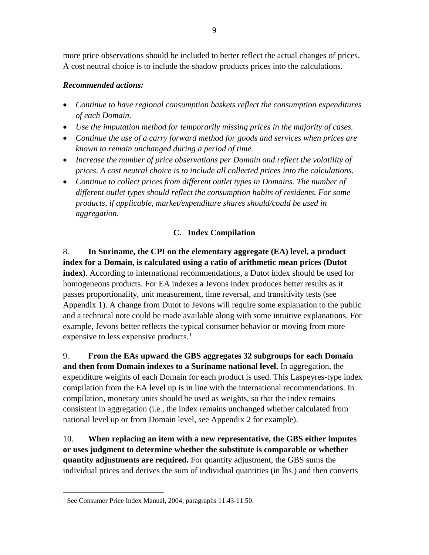more price observations should be included to better reflect the actual changes of prices. A cost neutral choice is to include the shadow products prices into the calculations.

#### *Recommended actions:*

- *Continue to have regional consumption baskets reflect the consumption expenditures of each Domain.*
- *Use the imputation method for temporarily missing prices in the majority of cases.*
- *Continue the use of a carry forward method for goods and services when prices are known to remain unchanged during a period of time.*
- *Increase the number of price observations per Domain and reflect the volatility of prices. A cost neutral choice is to include all collected prices into the calculations.*
- *Continue to collect prices from different outlet types in Domains. The number of different outlet types should reflect the consumption habits of residents. For some products, if applicable, market/expenditure shares should/could be used in aggregation.*

## **C. Index Compilation**

### 8. **In Suriname, the CPI on the elementary aggregate (EA) level, a product index for a Domain, is calculated using a ratio of arithmetic mean prices (Dutot**

**index)**. According to international recommendations, a Dutot index should be used for homogeneous products. For EA indexes a Jevons index produces better results as it passes proportionality, unit measurement, time reversal, and transitivity tests (see Appendix 1). A change from Dutot to Jevons will require some explanation to the public and a technical note could be made available along with some intuitive explanations. For example, Jevons better reflects the typical consumer behavior or moving from more expensive to less expensive products.<sup>[1](#page-9-0)</sup>

9. **From the EAs upward the GBS aggregates 32 subgroups for each Domain and then from Domain indexes to a Suriname national level.** In aggregation, the expenditure weights of each Domain for each product is used. This Laspeyres-type index compilation from the EA level up is in line with the international recommendations. In compilation, monetary units should be used as weights, so that the index remains consistent in aggregation (i.e., the index remains unchanged whether calculated from national level up or from Domain level, see Appendix 2 for example).

10. **When replacing an item with a new representative, the GBS either imputes or uses judgment to determine whether the substitute is comparable or whether quantity adjustments are required.** For quantity adjustment, the GBS sums the individual prices and derives the sum of individual quantities (in lbs.) and then converts

<span id="page-9-0"></span><sup>&</sup>lt;sup>1</sup> See Consumer Price Index Manual, 2004, paragraphs 11.43-11.50.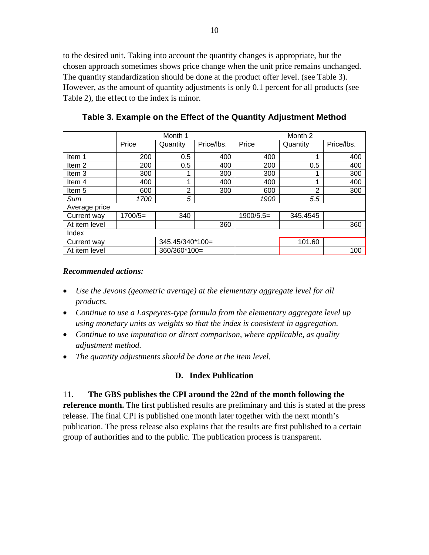to the desired unit. Taking into account the quantity changes is appropriate, but the chosen approach sometimes shows price change when the unit price remains unchanged. The quantity standardization should be done at the product offer level. (see Table 3). However, as the amount of quantity adjustments is only 0.1 percent for all products (see Table 2), the effect to the index is minor.

|                   | Month 1   |                 |            | Month 2     |                |            |
|-------------------|-----------|-----------------|------------|-------------|----------------|------------|
|                   | Price     | Quantity        | Price/lbs. | Price       | Quantity       | Price/lbs. |
| Item 1            | 200       | 0.5             | 400        | 400         |                | 400        |
| Item <sub>2</sub> | 200       | 0.5             | 400        | 200         | 0.5            | 400        |
| Item 3            | 300       |                 | 300        | 300         |                | 300        |
| Item 4            | 400       | 4               | 400        | 400         |                | 400        |
| Item 5            | 600       | 2               | 300        | 600         | $\overline{2}$ | 300        |
| Sum               | 1700      | 5               |            | 1900        | 5.5            |            |
| Average price     |           |                 |            |             |                |            |
| Current way       | $1700/5=$ | 340             |            | $1900/5.5=$ | 345.4545       |            |
| At item level     |           |                 | 360        |             |                | 360        |
| Index             |           |                 |            |             |                |            |
| Current way       |           | 345.45/340*100= |            |             | 101.60         |            |
| At item level     |           | 360/360*100=    |            |             |                | 100        |

**Table 3. Example on the Effect of the Quantity Adjustment Method**

#### *Recommended actions:*

- *Use the Jevons (geometric average) at the elementary aggregate level for all products.*
- *Continue to use a Laspeyres-type formula from the elementary aggregate level up using monetary units as weights so that the index is consistent in aggregation.*
- *Continue to use imputation or direct comparison, where applicable, as quality adjustment method.*
- *The quantity adjustments should be done at the item level.*

## **D. Index Publication**

## 11. **The GBS publishes the CPI around the 22nd of the month following the**

**reference month.** The first published results are preliminary and this is stated at the press release. The final CPI is published one month later together with the next month's publication. The press release also explains that the results are first published to a certain group of authorities and to the public. The publication process is transparent.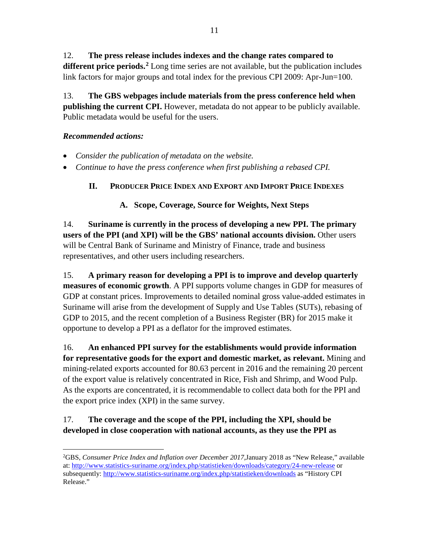# 12. **The press release includes indexes and the change rates compared to**

**different price periods. [2](#page-11-0)** Long time series are not available, but the publication includes link factors for major groups and total index for the previous CPI 2009: Apr-Jun=100.

13. **The GBS webpages include materials from the press conference held when publishing the current CPI.** However, metadata do not appear to be publicly available. Public metadata would be useful for the users.

### *Recommended actions:*

- *Consider the publication of metadata on the website.*
- *Continue to have the press conference when first publishing a rebased CPI.*

## **II. PRODUCER PRICE INDEX AND EXPORT AND IMPORT PRICE INDEXES**

#### **A. Scope, Coverage, Source for Weights, Next Steps**

14. **Suriname is currently in the process of developing a new PPI. The primary users of the PPI (and XPI) will be the GBS' national accounts division.** Other users will be Central Bank of Suriname and Ministry of Finance, trade and business representatives, and other users including researchers.

15. **A primary reason for developing a PPI is to improve and develop quarterly measures of economic growth**. A PPI supports volume changes in GDP for measures of GDP at constant prices. Improvements to detailed nominal gross value-added estimates in Suriname will arise from the development of Supply and Use Tables (SUTs), rebasing of GDP to 2015, and the recent completion of a Business Register (BR) for 2015 make it opportune to develop a PPI as a deflator for the improved estimates.

16. **An enhanced PPI survey for the establishments would provide information for representative goods for the export and domestic market, as relevant.** Mining and mining-related exports accounted for 80.63 percent in 2016 and the remaining 20 percent of the export value is relatively concentrated in Rice, Fish and Shrimp, and Wood Pulp. As the exports are concentrated, it is recommendable to collect data both for the PPI and the export price index (XPI) in the same survey.

# 17. **The coverage and the scope of the PPI, including the XPI, should be developed in close cooperation with national accounts, as they use the PPI as**

<span id="page-11-0"></span> $\frac{1}{2}$ GBS, *Consumer Price Index and Inflation over December 2017,*January 2018 as "New Release," available at:<http://www.statistics-suriname.org/index.php/statistieken/downloads/category/24-new-release> or subsequently:<http://www.statistics-suriname.org/index.php/statistieken/downloads> as "History CPI Release."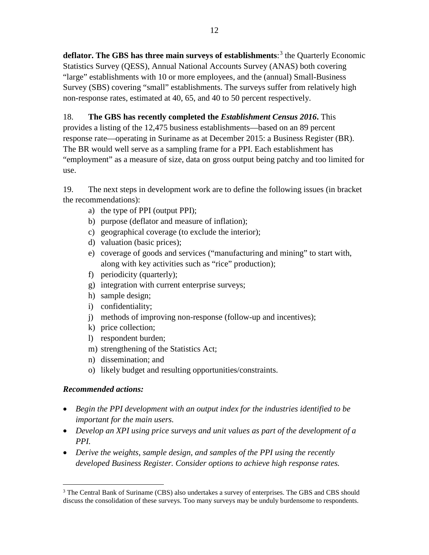**deflator. The GBS has three main surveys of establishments**: [3](#page-12-0) the Quarterly Economic Statistics Survey (QESS), Annual National Accounts Survey (ANAS) both covering "large" establishments with 10 or more employees, and the (annual) Small-Business Survey (SBS) covering "small" establishments. The surveys suffer from relatively high non-response rates, estimated at 40, 65, and 40 to 50 percent respectively.

# 18. **The GBS has recently completed the** *Establishment Census 2016***.** This

provides a listing of the 12,475 business establishments—based on an 89 percent response rate—operating in Suriname as at December 2015: a Business Register (BR). The BR would well serve as a sampling frame for a PPI. Each establishment has "employment" as a measure of size, data on gross output being patchy and too limited for use.

19. The next steps in development work are to define the following issues (in bracket the recommendations):

- a) the type of PPI (output PPI);
- b) purpose (deflator and measure of inflation);
- c) geographical coverage (to exclude the interior);
- d) valuation (basic prices);
- e) coverage of goods and services ("manufacturing and mining" to start with, along with key activities such as "rice" production);
- f) periodicity (quarterly);
- g) integration with current enterprise surveys;
- h) sample design;
- i) confidentiality;
- j) methods of improving non-response (follow-up and incentives);
- k) price collection;
- l) respondent burden;
- m) strengthening of the Statistics Act;
- n) dissemination; and
- o) likely budget and resulting opportunities/constraints.

#### *Recommended actions:*

- *Begin the PPI development with an output index for the industries identified to be important for the main users.*
- *Develop an XPI using price surveys and unit values as part of the development of a PPI.*
- *Derive the weights, sample design, and samples of the PPI using the recently developed Business Register. Consider options to achieve high response rates.*

<span id="page-12-0"></span><sup>&</sup>lt;sup>3</sup> The Central Bank of Suriname (CBS) also undertakes a survey of enterprises. The GBS and CBS should discuss the consolidation of these surveys. Too many surveys may be unduly burdensome to respondents.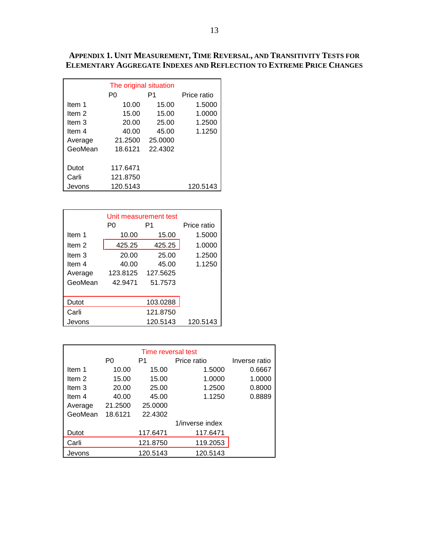#### **APPENDIX 1. UNIT MEASUREMENT, TIME REVERSAL, AND TRANSITIVITY TESTS FOR ELEMENTARY AGGREGATE INDEXES AND REFLECTION TO EXTREME PRICE CHANGES**

| The original situation |          |         |          |  |  |  |  |
|------------------------|----------|---------|----------|--|--|--|--|
|                        | P1<br>P0 |         |          |  |  |  |  |
| Item 1                 | 10.00    | 15.00   | 1.5000   |  |  |  |  |
| Item 2                 | 15.00    | 15.00   | 1.0000   |  |  |  |  |
| Item 3                 | 20.00    | 25.00   | 1.2500   |  |  |  |  |
| ltem 4                 | 40.00    | 45.00   | 1.1250   |  |  |  |  |
| Average                | 21.2500  | 25.0000 |          |  |  |  |  |
| GeoMean                | 18.6121  | 22.4302 |          |  |  |  |  |
|                        |          |         |          |  |  |  |  |
| Dutot                  | 117.6471 |         |          |  |  |  |  |
| Carli                  | 121.8750 |         |          |  |  |  |  |
| Jevons                 | 120.5143 |         | 120.5143 |  |  |  |  |

|         | Unit measurement test |          |             |  |  |  |  |
|---------|-----------------------|----------|-------------|--|--|--|--|
|         | P٥                    | P1       | Price ratio |  |  |  |  |
| Item 1  | 10.00                 | 15.00    | 1.5000      |  |  |  |  |
| Item 2  | 425.25                | 425.25   | 1.0000      |  |  |  |  |
| Item 3  | 20.00                 | 25.00    | 1.2500      |  |  |  |  |
| Item 4  | 40.00                 | 45.00    | 1.1250      |  |  |  |  |
| Average | 123.8125              | 127.5625 |             |  |  |  |  |
| GeoMean | 42.9471               | 51.7573  |             |  |  |  |  |
|         |                       |          |             |  |  |  |  |
| Dutot   | 103.0288              |          |             |  |  |  |  |
| Carli   |                       | 121.8750 |             |  |  |  |  |
| Jevons  |                       | 120.5143 | 120.5143    |  |  |  |  |

| Time reversal test |                                     |          |                 |        |  |  |  |
|--------------------|-------------------------------------|----------|-----------------|--------|--|--|--|
|                    | P <sub>0</sub><br>P1<br>Price ratio |          |                 |        |  |  |  |
| Item 1             | 10.00                               | 15.00    | 1.5000          | 0.6667 |  |  |  |
| Item 2             | 15.00                               | 15.00    | 1.0000          | 1.0000 |  |  |  |
| Item 3             | 20.00                               | 25.00    | 1.2500          | 0.8000 |  |  |  |
| Item 4             | 40.00                               | 45.00    | 1.1250          | 0.8889 |  |  |  |
| Average            | 21.2500                             | 25.0000  |                 |        |  |  |  |
| GeoMean            | 18.6121                             | 22.4302  |                 |        |  |  |  |
|                    |                                     |          | 1/inverse index |        |  |  |  |
| Dutot              |                                     | 117.6471 | 117.6471        |        |  |  |  |
| Carli              |                                     | 121.8750 | 119.2053        |        |  |  |  |
| Jevons             |                                     | 120.5143 | 120.5143        |        |  |  |  |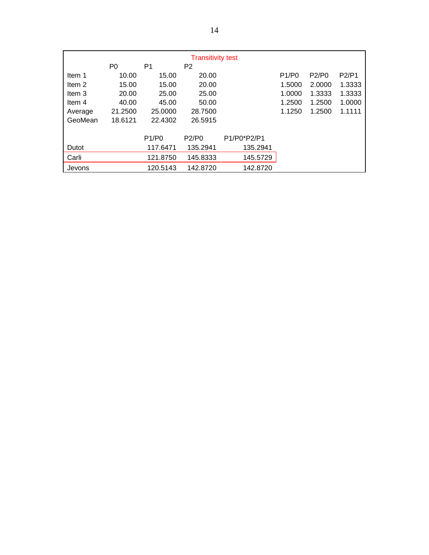|                                        | <b>Transitivity test</b> |          |          |             |        |        |        |  |
|----------------------------------------|--------------------------|----------|----------|-------------|--------|--------|--------|--|
| P <sub>0</sub><br>P1<br>P <sub>2</sub> |                          |          |          |             |        |        |        |  |
| Item 1                                 | 10.00                    | 15.00    | 20.00    |             | P1/P0  | P2/P0  | P2/P1  |  |
| Item 2                                 | 15.00                    | 15.00    | 20.00    |             | 1.5000 | 2.0000 | 1.3333 |  |
| Item 3                                 | 20.00                    | 25.00    | 25.00    |             | 1.0000 | 1.3333 | 1.3333 |  |
| Item 4                                 | 40.00                    | 45.00    | 50.00    |             | 1.2500 | 1.2500 | 1.0000 |  |
| Average                                | 21.2500                  | 25,0000  | 28.7500  |             | 1.1250 | 1.2500 | 1.1111 |  |
| GeoMean                                | 18.6121                  | 22.4302  | 26.5915  |             |        |        |        |  |
|                                        |                          |          |          |             |        |        |        |  |
|                                        |                          | P1/P0    | P2/P0    | P1/P0*P2/P1 |        |        |        |  |
| Dutot                                  |                          | 117.6471 | 135.2941 | 135.2941    |        |        |        |  |
| Carli                                  |                          | 121.8750 | 145.8333 | 145.5729    |        |        |        |  |
| Jevons                                 |                          | 120.5143 | 142.8720 | 142.8720    |        |        |        |  |